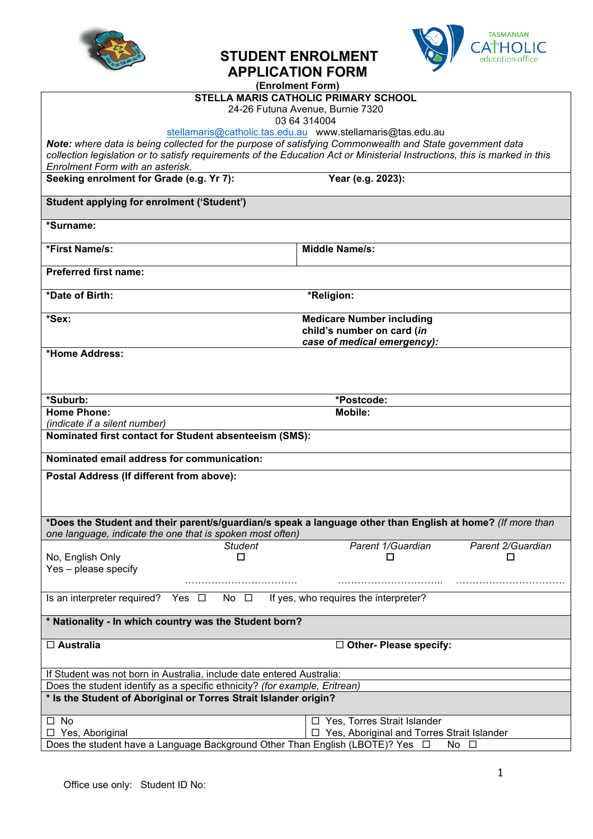



|                                                                                                          | <b>STUDENT ENROLMENT</b><br>education office                                                                               |  |  |  |
|----------------------------------------------------------------------------------------------------------|----------------------------------------------------------------------------------------------------------------------------|--|--|--|
|                                                                                                          | <b>APPLICATION FORM</b>                                                                                                    |  |  |  |
|                                                                                                          | (Enrolment Form)                                                                                                           |  |  |  |
|                                                                                                          | <b>STELLA MARIS CATHOLIC PRIMARY SCHOOL</b>                                                                                |  |  |  |
|                                                                                                          | 24-26 Futuna Avenue, Burnie 7320                                                                                           |  |  |  |
|                                                                                                          | 03 64 314004<br>stellamaris@catholic.tas.edu.au www.stellamaris@tas.edu.au                                                 |  |  |  |
| Note: where data is being collected for the purpose of satisfying Commonwealth and State government data |                                                                                                                            |  |  |  |
|                                                                                                          | collection legislation or to satisfy requirements of the Education Act or Ministerial Instructions, this is marked in this |  |  |  |
| Enrolment Form with an asterisk.                                                                         |                                                                                                                            |  |  |  |
| Seeking enrolment for Grade (e.g. Yr 7):                                                                 | Year (e.g. 2023):                                                                                                          |  |  |  |
|                                                                                                          |                                                                                                                            |  |  |  |
| <b>Student applying for enrolment ('Student')</b>                                                        |                                                                                                                            |  |  |  |
| *Surname:                                                                                                |                                                                                                                            |  |  |  |
| *First Name/s:                                                                                           | <b>Middle Name/s:</b>                                                                                                      |  |  |  |
| <b>Preferred first name:</b>                                                                             |                                                                                                                            |  |  |  |
| *Date of Birth:                                                                                          | *Religion:                                                                                                                 |  |  |  |
| *Sex:                                                                                                    | <b>Medicare Number including</b>                                                                                           |  |  |  |
|                                                                                                          | child's number on card (in                                                                                                 |  |  |  |
|                                                                                                          | case of medical emergency):                                                                                                |  |  |  |
| *Home Address:                                                                                           |                                                                                                                            |  |  |  |
|                                                                                                          |                                                                                                                            |  |  |  |
|                                                                                                          |                                                                                                                            |  |  |  |
| *Suburb:                                                                                                 | *Postcode:                                                                                                                 |  |  |  |
| <b>Home Phone:</b>                                                                                       | <b>Mobile:</b>                                                                                                             |  |  |  |
| (indicate if a silent number)                                                                            |                                                                                                                            |  |  |  |
| Nominated first contact for Student absenteeism (SMS):                                                   |                                                                                                                            |  |  |  |
|                                                                                                          |                                                                                                                            |  |  |  |
| Nominated email address for communication:                                                               |                                                                                                                            |  |  |  |
| Postal Address (If different from above):                                                                |                                                                                                                            |  |  |  |
|                                                                                                          |                                                                                                                            |  |  |  |
|                                                                                                          |                                                                                                                            |  |  |  |
|                                                                                                          |                                                                                                                            |  |  |  |
|                                                                                                          | *Does the Student and their parent/s/guardian/s speak a language other than English at home? (If more than                 |  |  |  |
| one language, indicate the one that is spoken most often)                                                |                                                                                                                            |  |  |  |
| <b>Student</b><br>□                                                                                      | Parent 1/Guardian<br>Parent 2/Guardian<br>□<br>□                                                                           |  |  |  |
| No, English Only<br>Yes - please specify                                                                 |                                                                                                                            |  |  |  |
|                                                                                                          |                                                                                                                            |  |  |  |
|                                                                                                          |                                                                                                                            |  |  |  |
| Is an interpreter required? Yes $\Box$<br>No $\square$                                                   | If yes, who requires the interpreter?                                                                                      |  |  |  |
| * Nationality - In which country was the Student born?                                                   |                                                                                                                            |  |  |  |
| □ Australia                                                                                              | $\Box$ Other- Please specify:                                                                                              |  |  |  |
|                                                                                                          |                                                                                                                            |  |  |  |
| If Student was not born in Australia, include date entered Australia:                                    |                                                                                                                            |  |  |  |
| Does the student identify as a specific ethnicity? (for example, Eritrean)                               |                                                                                                                            |  |  |  |
| * Is the Student of Aboriginal or Torres Strait Islander origin?                                         |                                                                                                                            |  |  |  |
|                                                                                                          |                                                                                                                            |  |  |  |

Does the student have a Language Background Other Than English (LBOTE)? Yes  $\Box$  No  $\Box$ 

□ Yes, Aboriginal

□ Yes, Aboriginal and Torres Strait Islander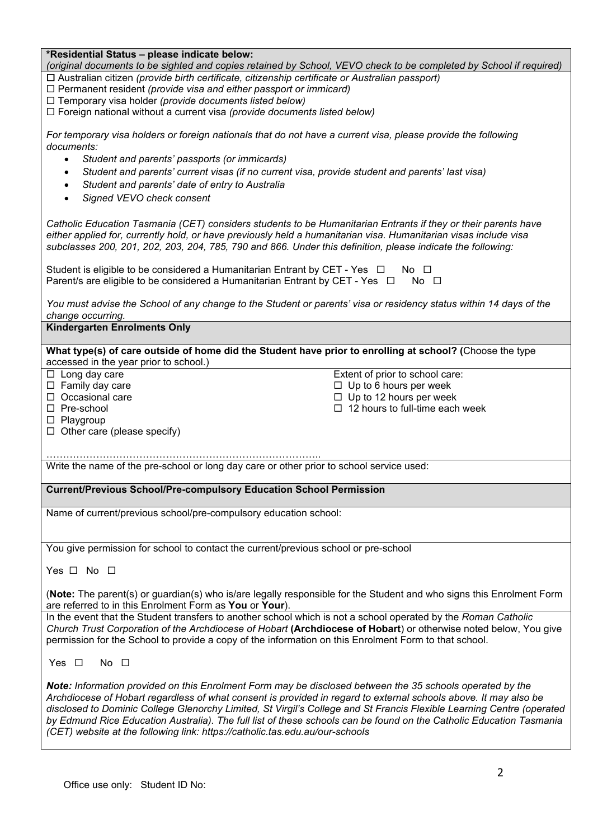| *Residential Status - please indicate below:                                                                  |                                                                                                                       |
|---------------------------------------------------------------------------------------------------------------|-----------------------------------------------------------------------------------------------------------------------|
|                                                                                                               | (original documents to be sighted and copies retained by School, VEVO check to be completed by School if required)    |
| □ Australian citizen (provide birth certificate, citizenship certificate or Australian passport)              |                                                                                                                       |
| $\Box$ Permanent resident (provide visa and either passport or immicard)                                      |                                                                                                                       |
| $\Box$ Temporary visa holder (provide documents listed below)                                                 |                                                                                                                       |
| □ Foreign national without a current visa (provide documents listed below)                                    |                                                                                                                       |
|                                                                                                               |                                                                                                                       |
| For temporary visa holders or foreign nationals that do not have a current visa, please provide the following |                                                                                                                       |
| documents:                                                                                                    |                                                                                                                       |
| Student and parents' passports (or immicards)<br>$\bullet$                                                    |                                                                                                                       |
| ٠                                                                                                             | Student and parents' current visas (if no current visa, provide student and parents' last visa)                       |
| Student and parents' date of entry to Australia<br>$\bullet$                                                  |                                                                                                                       |
| Signed VEVO check consent<br>$\bullet$                                                                        |                                                                                                                       |
|                                                                                                               |                                                                                                                       |
|                                                                                                               |                                                                                                                       |
|                                                                                                               | Catholic Education Tasmania (CET) considers students to be Humanitarian Entrants if they or their parents have        |
|                                                                                                               | either applied for, currently hold, or have previously held a humanitarian visa. Humanitarian visas include visa      |
| subclasses 200, 201, 202, 203, 204, 785, 790 and 866. Under this definition, please indicate the following:   |                                                                                                                       |
| Student is eligible to be considered a Humanitarian Entrant by CET - Yes $\Box$                               | $No$ $\Box$                                                                                                           |
| Parent/s are eligible to be considered a Humanitarian Entrant by CET - Yes $\Box$ No $\Box$                   |                                                                                                                       |
|                                                                                                               |                                                                                                                       |
|                                                                                                               | You must advise the School of any change to the Student or parents' visa or residency status within 14 days of the    |
| change occurring.                                                                                             |                                                                                                                       |
| <b>Kindergarten Enrolments Only</b>                                                                           |                                                                                                                       |
|                                                                                                               |                                                                                                                       |
|                                                                                                               | What type(s) of care outside of home did the Student have prior to enrolling at school? (Choose the type              |
| accessed in the year prior to school.)                                                                        |                                                                                                                       |
| $\Box$ Long day care                                                                                          | Extent of prior to school care:                                                                                       |
| $\Box$ Family day care                                                                                        | $\Box$ Up to 6 hours per week                                                                                         |
| $\Box$ Occasional care                                                                                        | $\Box$ Up to 12 hours per week                                                                                        |
| $\Box$ Pre-school                                                                                             | $\Box$ 12 hours to full-time each week                                                                                |
| $\Box$ Playgroup                                                                                              |                                                                                                                       |
| $\Box$ Other care (please specify)                                                                            |                                                                                                                       |
|                                                                                                               |                                                                                                                       |
|                                                                                                               |                                                                                                                       |
| Write the name of the pre-school or long day care or other prior to school service used:                      |                                                                                                                       |
|                                                                                                               |                                                                                                                       |
| <b>Current/Previous School/Pre-compulsory Education School Permission</b>                                     |                                                                                                                       |
|                                                                                                               |                                                                                                                       |
| Name of current/previous school/pre-compulsory education school:                                              |                                                                                                                       |
|                                                                                                               |                                                                                                                       |
|                                                                                                               |                                                                                                                       |
| You give permission for school to contact the current/previous school or pre-school                           |                                                                                                                       |
| Yes $\Box$ No $\Box$                                                                                          |                                                                                                                       |
|                                                                                                               |                                                                                                                       |
|                                                                                                               | (Note: The parent(s) or guardian(s) who is/are legally responsible for the Student and who signs this Enrolment Form  |
| are referred to in this Enrolment Form as You or Your)                                                        |                                                                                                                       |
|                                                                                                               | In the event that the Student transfers to another school which is not a school operated by the Roman Catholic        |
|                                                                                                               | Church Trust Corporation of the Archdiocese of Hobart (Archdiocese of Hobart) or otherwise noted below, You give      |
| permission for the School to provide a copy of the information on this Enrolment Form to that school.         |                                                                                                                       |
|                                                                                                               |                                                                                                                       |
| No $\square$<br>Yes $\Box$                                                                                    |                                                                                                                       |
|                                                                                                               |                                                                                                                       |
|                                                                                                               | Note: Information provided on this Enrolment Form may be disclosed between the 35 schools operated by the             |
|                                                                                                               | Archdiocese of Hobart regardless of what consent is provided in regard to external schools above. It may also be      |
|                                                                                                               | disclosed to Dominic College Glenorchy Limited, St Virgil's College and St Francis Flexible Learning Centre (operated |
|                                                                                                               | by Edmund Rice Education Australia). The full list of these schools can be found on the Catholic Education Tasmania   |
| (CET) website at the following link: https://catholic.tas.edu.au/our-schools                                  |                                                                                                                       |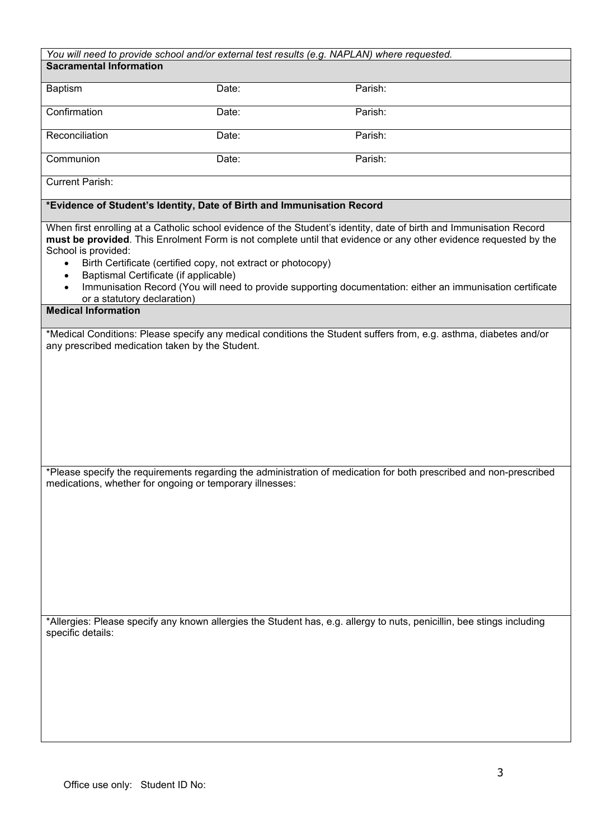| Parish:<br>Parish:<br>Parish:<br>Parish:<br>*Evidence of Student's Identity, Date of Birth and Immunisation Record<br>When first enrolling at a Catholic school evidence of the Student's identity, date of birth and Immunisation Record<br>must be provided. This Enrolment Form is not complete until that evidence or any other evidence requested by the<br>Birth Certificate (certified copy, not extract or photocopy)<br>Immunisation Record (You will need to provide supporting documentation: either an immunisation certificate<br>*Medical Conditions: Please specify any medical conditions the Student suffers from, e.g. asthma, diabetes and/or |
|------------------------------------------------------------------------------------------------------------------------------------------------------------------------------------------------------------------------------------------------------------------------------------------------------------------------------------------------------------------------------------------------------------------------------------------------------------------------------------------------------------------------------------------------------------------------------------------------------------------------------------------------------------------|
|                                                                                                                                                                                                                                                                                                                                                                                                                                                                                                                                                                                                                                                                  |
|                                                                                                                                                                                                                                                                                                                                                                                                                                                                                                                                                                                                                                                                  |
|                                                                                                                                                                                                                                                                                                                                                                                                                                                                                                                                                                                                                                                                  |
|                                                                                                                                                                                                                                                                                                                                                                                                                                                                                                                                                                                                                                                                  |
|                                                                                                                                                                                                                                                                                                                                                                                                                                                                                                                                                                                                                                                                  |
|                                                                                                                                                                                                                                                                                                                                                                                                                                                                                                                                                                                                                                                                  |
|                                                                                                                                                                                                                                                                                                                                                                                                                                                                                                                                                                                                                                                                  |
|                                                                                                                                                                                                                                                                                                                                                                                                                                                                                                                                                                                                                                                                  |
|                                                                                                                                                                                                                                                                                                                                                                                                                                                                                                                                                                                                                                                                  |
|                                                                                                                                                                                                                                                                                                                                                                                                                                                                                                                                                                                                                                                                  |
|                                                                                                                                                                                                                                                                                                                                                                                                                                                                                                                                                                                                                                                                  |
|                                                                                                                                                                                                                                                                                                                                                                                                                                                                                                                                                                                                                                                                  |
|                                                                                                                                                                                                                                                                                                                                                                                                                                                                                                                                                                                                                                                                  |
|                                                                                                                                                                                                                                                                                                                                                                                                                                                                                                                                                                                                                                                                  |
| *Please specify the requirements regarding the administration of medication for both prescribed and non-prescribed                                                                                                                                                                                                                                                                                                                                                                                                                                                                                                                                               |
|                                                                                                                                                                                                                                                                                                                                                                                                                                                                                                                                                                                                                                                                  |
|                                                                                                                                                                                                                                                                                                                                                                                                                                                                                                                                                                                                                                                                  |
|                                                                                                                                                                                                                                                                                                                                                                                                                                                                                                                                                                                                                                                                  |
|                                                                                                                                                                                                                                                                                                                                                                                                                                                                                                                                                                                                                                                                  |
|                                                                                                                                                                                                                                                                                                                                                                                                                                                                                                                                                                                                                                                                  |
|                                                                                                                                                                                                                                                                                                                                                                                                                                                                                                                                                                                                                                                                  |
| *Allergies: Please specify any known allergies the Student has, e.g. allergy to nuts, penicillin, bee stings including                                                                                                                                                                                                                                                                                                                                                                                                                                                                                                                                           |
|                                                                                                                                                                                                                                                                                                                                                                                                                                                                                                                                                                                                                                                                  |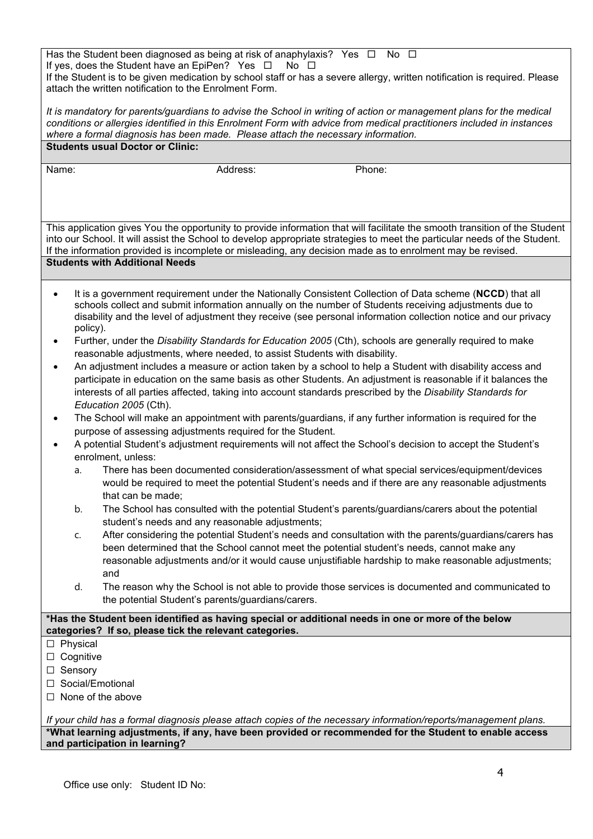Has the Student been diagnosed as being at risk of anaphylaxis? Yes  $\Box$  No  $\Box$ If yes, does the Student have an EpiPen? Yes  $\Box$  No  $\Box$ If the Student is to be given medication by school staff or has a severe allergy, written notification is required. Please attach the written notification to the Enrolment Form.

*It is mandatory for parents/guardians to advise the School in writing of action or management plans for the medical conditions or allergies identified in this Enrolment Form with advice from medical practitioners included in instances where a formal diagnosis has been made. Please attach the necessary information.* **Students usual Doctor or Clinic:**

Name: Contract Management Contract Address: Address: Phone: Phone: Phone: Phone: Phone: Phone: Phone: Phone: P

This application gives You the opportunity to provide information that will facilitate the smooth transition of the Student into our School. It will assist the School to develop appropriate strategies to meet the particular needs of the Student. If the information provided is incomplete or misleading, any decision made as to enrolment may be revised. **Students with Additional Needs**

- It is a government requirement under the Nationally Consistent Collection of Data scheme (**NCCD**) that all schools collect and submit information annually on the number of Students receiving adjustments due to disability and the level of adjustment they receive (see personal information collection notice and our privacy policy).
- Further, under the *Disability Standards for Education 2005* (Cth), schools are generally required to make reasonable adjustments, where needed, to assist Students with disability.
- An adjustment includes a measure or action taken by a school to help a Student with disability access and participate in education on the same basis as other Students. An adjustment is reasonable if it balances the interests of all parties affected, taking into account standards prescribed by the *Disability Standards for Education 2005* (Cth).
- The School will make an appointment with parents/guardians, if any further information is required for the purpose of assessing adjustments required for the Student.
- A potential Student's adjustment requirements will not affect the School's decision to accept the Student's enrolment, unless:
	- a. There has been documented consideration/assessment of what special services/equipment/devices would be required to meet the potential Student's needs and if there are any reasonable adjustments that can be made;
	- b. The School has consulted with the potential Student's parents/guardians/carers about the potential student's needs and any reasonable adjustments;
	- c. After considering the potential Student's needs and consultation with the parents/guardians/carers has been determined that the School cannot meet the potential student's needs, cannot make any reasonable adjustments and/or it would cause unjustifiable hardship to make reasonable adjustments; and
	- d. The reason why the School is not able to provide those services is documented and communicated to the potential Student's parents/guardians/carers.

# **\*Has the Student been identified as having special or additional needs in one or more of the below categories? If so, please tick the relevant categories.**

- ☐ Physical
- □ Cognitive
- □ Sensory
- □ Social/Emotional
- ☐ None of the above

*If your child has a formal diagnosis please attach copies of the necessary information/reports/management plans.* **\*What learning adjustments, if any, have been provided or recommended for the Student to enable access and participation in learning?**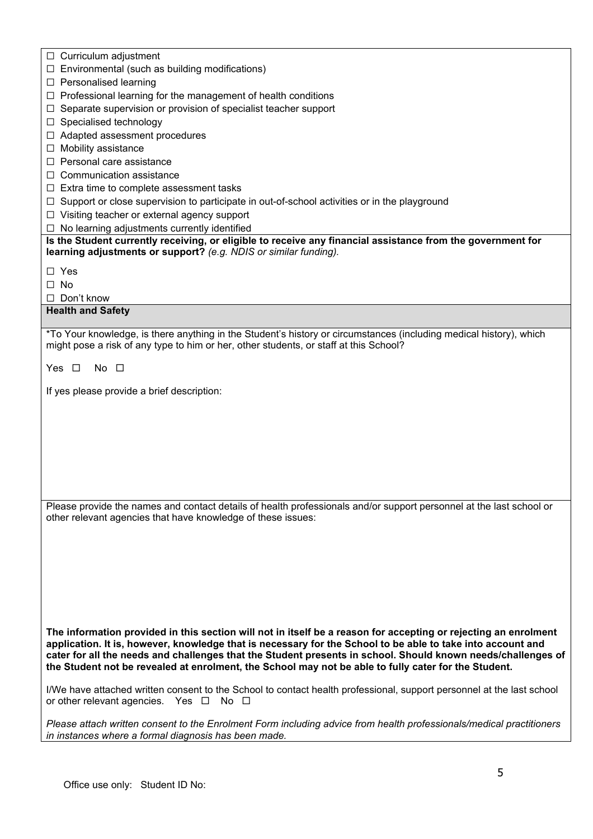| $\Box$ Curriculum adjustment                                                                                                                                                                                |
|-------------------------------------------------------------------------------------------------------------------------------------------------------------------------------------------------------------|
| Environmental (such as building modifications)                                                                                                                                                              |
| $\Box$ Personalised learning                                                                                                                                                                                |
| $\Box$ Professional learning for the management of health conditions                                                                                                                                        |
| Separate supervision or provision of specialist teacher support                                                                                                                                             |
| Specialised technology                                                                                                                                                                                      |
| Adapted assessment procedures                                                                                                                                                                               |
| Mobility assistance                                                                                                                                                                                         |
| Personal care assistance                                                                                                                                                                                    |
| Communication assistance                                                                                                                                                                                    |
| $\Box$ Extra time to complete assessment tasks                                                                                                                                                              |
| Support or close supervision to participate in out-of-school activities or in the playground                                                                                                                |
| $\Box$ Visiting teacher or external agency support                                                                                                                                                          |
| No learning adjustments currently identified                                                                                                                                                                |
| Is the Student currently receiving, or eligible to receive any financial assistance from the government for                                                                                                 |
| learning adjustments or support? (e.g. NDIS or similar funding).                                                                                                                                            |
|                                                                                                                                                                                                             |
| $\Box$ Yes                                                                                                                                                                                                  |
| No                                                                                                                                                                                                          |
| Don't know<br>$\perp$                                                                                                                                                                                       |
| <b>Health and Safety</b>                                                                                                                                                                                    |
|                                                                                                                                                                                                             |
| *To Your knowledge, is there anything in the Student's history or circumstances (including medical history), which<br>might pose a risk of any type to him or her, other students, or staff at this School? |
|                                                                                                                                                                                                             |
| $No$ $\Box$<br>Yes $\Box$                                                                                                                                                                                   |
|                                                                                                                                                                                                             |
| If yes please provide a brief description:                                                                                                                                                                  |
|                                                                                                                                                                                                             |
|                                                                                                                                                                                                             |
|                                                                                                                                                                                                             |
|                                                                                                                                                                                                             |
|                                                                                                                                                                                                             |
|                                                                                                                                                                                                             |
|                                                                                                                                                                                                             |
|                                                                                                                                                                                                             |
| Please provide the names and contact details of health professionals and/or support personnel at the last school or                                                                                         |
| other relevant agencies that have knowledge of these issues:                                                                                                                                                |
|                                                                                                                                                                                                             |
|                                                                                                                                                                                                             |
|                                                                                                                                                                                                             |
|                                                                                                                                                                                                             |
|                                                                                                                                                                                                             |
|                                                                                                                                                                                                             |
|                                                                                                                                                                                                             |
|                                                                                                                                                                                                             |
| The information provided in this section will not in itself be a reason for accepting or rejecting an enrolment                                                                                             |
| application. It is, however, knowledge that is necessary for the School to be able to take into account and                                                                                                 |
| cater for all the needs and challenges that the Student presents in school. Should known needs/challenges of                                                                                                |
| the Student not be revealed at enrolment, the School may not be able to fully cater for the Student.                                                                                                        |
|                                                                                                                                                                                                             |
| I/We have attached written consent to the School to contact health professional, support personnel at the last school                                                                                       |
| or other relevant agencies. Yes $\Box$ No $\Box$                                                                                                                                                            |
|                                                                                                                                                                                                             |
|                                                                                                                                                                                                             |
| Please attach written consent to the Enrolment Form including advice from health professionals/medical practitioners<br>in instances where a formal diagnosis has been made.                                |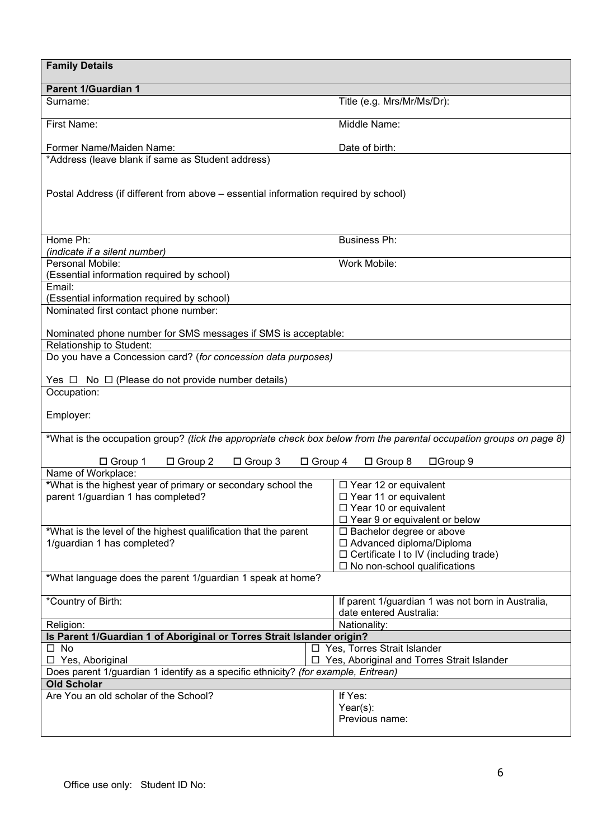| <b>Family Details</b>                                                                                                                    |                                                                              |  |  |  |  |
|------------------------------------------------------------------------------------------------------------------------------------------|------------------------------------------------------------------------------|--|--|--|--|
| <b>Parent 1/Guardian 1</b>                                                                                                               |                                                                              |  |  |  |  |
| Surname:                                                                                                                                 | Title (e.g. Mrs/Mr/Ms/Dr):                                                   |  |  |  |  |
| First Name:                                                                                                                              | Middle Name:                                                                 |  |  |  |  |
| Former Name/Maiden Name:                                                                                                                 | Date of birth:                                                               |  |  |  |  |
| *Address (leave blank if same as Student address)<br>Postal Address (if different from above - essential information required by school) |                                                                              |  |  |  |  |
| Home Ph:                                                                                                                                 | <b>Business Ph:</b>                                                          |  |  |  |  |
| (indicate if a silent number)                                                                                                            |                                                                              |  |  |  |  |
| Personal Mobile:                                                                                                                         | Work Mobile:                                                                 |  |  |  |  |
| (Essential information required by school)                                                                                               |                                                                              |  |  |  |  |
| Email:                                                                                                                                   |                                                                              |  |  |  |  |
| (Essential information required by school)                                                                                               |                                                                              |  |  |  |  |
| Nominated first contact phone number:                                                                                                    |                                                                              |  |  |  |  |
| Nominated phone number for SMS messages if SMS is acceptable:<br>Relationship to Student:                                                |                                                                              |  |  |  |  |
| Do you have a Concession card? (for concession data purposes)                                                                            |                                                                              |  |  |  |  |
| Yes $\Box$ No $\Box$ (Please do not provide number details)                                                                              |                                                                              |  |  |  |  |
| Occupation:                                                                                                                              |                                                                              |  |  |  |  |
| Employer:                                                                                                                                |                                                                              |  |  |  |  |
| *What is the occupation group? (tick the appropriate check box below from the parental occupation groups on page 8)                      |                                                                              |  |  |  |  |
| $\Box$ Group 1<br>$\Box$ Group 2<br>$\Box$ Group 3<br>$\Box$ Group 4                                                                     | □Group 9<br>$\Box$ Group 8                                                   |  |  |  |  |
| Name of Workplace:                                                                                                                       |                                                                              |  |  |  |  |
| *What is the highest year of primary or secondary school the                                                                             | $\Box$ Year 12 or equivalent                                                 |  |  |  |  |
| parent 1/guardian 1 has completed?                                                                                                       | $\Box$ Year 11 or equivalent<br>$\Box$ Year 10 or equivalent                 |  |  |  |  |
|                                                                                                                                          | $\Box$ Year 9 or equivalent or below                                         |  |  |  |  |
| *What is the level of the highest qualification that the parent                                                                          | □ Bachelor degree or above                                                   |  |  |  |  |
| 1/guardian 1 has completed?                                                                                                              | □ Advanced diploma/Diploma                                                   |  |  |  |  |
|                                                                                                                                          | □ Certificate I to IV (including trade)                                      |  |  |  |  |
|                                                                                                                                          | $\Box$ No non-school qualifications                                          |  |  |  |  |
| *What language does the parent 1/guardian 1 speak at home?                                                                               |                                                                              |  |  |  |  |
| *Country of Birth:                                                                                                                       | If parent 1/guardian 1 was not born in Australia,<br>date entered Australia: |  |  |  |  |
| Religion:                                                                                                                                | Nationality:                                                                 |  |  |  |  |
| Is Parent 1/Guardian 1 of Aboriginal or Torres Strait Islander origin?                                                                   |                                                                              |  |  |  |  |
| $\square$ No                                                                                                                             | □ Yes, Torres Strait Islander                                                |  |  |  |  |
| □ Yes, Aboriginal                                                                                                                        | □ Yes, Aboriginal and Torres Strait Islander                                 |  |  |  |  |
| Does parent 1/guardian 1 identify as a specific ethnicity? (for example, Eritrean)                                                       |                                                                              |  |  |  |  |
| <b>Old Scholar</b>                                                                                                                       |                                                                              |  |  |  |  |
| Are You an old scholar of the School?                                                                                                    | If Yes:                                                                      |  |  |  |  |
|                                                                                                                                          | $Year(s)$ :                                                                  |  |  |  |  |
|                                                                                                                                          | Previous name:                                                               |  |  |  |  |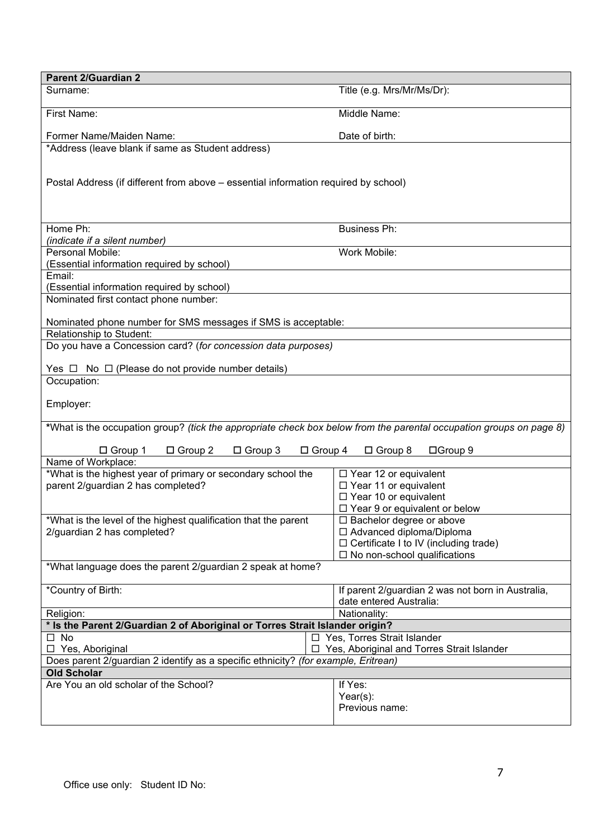| <b>Parent 2/Guardian 2</b>                                                                                          |                                                                            |  |  |  |
|---------------------------------------------------------------------------------------------------------------------|----------------------------------------------------------------------------|--|--|--|
| Surname:                                                                                                            | Title (e.g. Mrs/Mr/Ms/Dr):                                                 |  |  |  |
| <b>First Name:</b>                                                                                                  | Middle Name:                                                               |  |  |  |
| Former Name/Maiden Name:                                                                                            | Date of birth:                                                             |  |  |  |
| *Address (leave blank if same as Student address)                                                                   |                                                                            |  |  |  |
|                                                                                                                     |                                                                            |  |  |  |
| Postal Address (if different from above - essential information required by school)                                 |                                                                            |  |  |  |
|                                                                                                                     |                                                                            |  |  |  |
|                                                                                                                     |                                                                            |  |  |  |
| Home Ph:                                                                                                            | <b>Business Ph:</b>                                                        |  |  |  |
| (indicate if a silent number)                                                                                       |                                                                            |  |  |  |
| Personal Mobile:                                                                                                    | Work Mobile:                                                               |  |  |  |
| (Essential information required by school)                                                                          |                                                                            |  |  |  |
| Email:                                                                                                              |                                                                            |  |  |  |
| (Essential information required by school)<br>Nominated first contact phone number:                                 |                                                                            |  |  |  |
|                                                                                                                     |                                                                            |  |  |  |
| Nominated phone number for SMS messages if SMS is acceptable:                                                       |                                                                            |  |  |  |
| Relationship to Student:                                                                                            |                                                                            |  |  |  |
| Do you have a Concession card? (for concession data purposes)                                                       |                                                                            |  |  |  |
| Yes $\Box$ No $\Box$ (Please do not provide number details)                                                         |                                                                            |  |  |  |
| Occupation:                                                                                                         |                                                                            |  |  |  |
|                                                                                                                     |                                                                            |  |  |  |
| Employer:                                                                                                           |                                                                            |  |  |  |
|                                                                                                                     |                                                                            |  |  |  |
| *What is the occupation group? (tick the appropriate check box below from the parental occupation groups on page 8) |                                                                            |  |  |  |
| $\Box$ Group 1<br>$\Box$ Group 2<br>$\Box$ Group 3<br>$\Box$ Group 4                                                | $\Box$ Group 8<br>□Group 9                                                 |  |  |  |
| Name of Workplace:                                                                                                  |                                                                            |  |  |  |
| *What is the highest year of primary or secondary school the                                                        | $\Box$ Year 12 or equivalent                                               |  |  |  |
| parent 2/guardian 2 has completed?                                                                                  | □ Year 11 or equivalent                                                    |  |  |  |
|                                                                                                                     | $\Box$ Year 10 or equivalent                                               |  |  |  |
|                                                                                                                     | $\Box$ Year 9 or equivalent or below                                       |  |  |  |
| *What is the level of the highest qualification that the parent                                                     | □ Bachelor degree or above                                                 |  |  |  |
| 2/guardian 2 has completed?                                                                                         | □ Advanced diploma/Diploma<br>$\Box$ Certificate I to IV (including trade) |  |  |  |
|                                                                                                                     | $\Box$ No non-school qualifications                                        |  |  |  |
| *What language does the parent 2/guardian 2 speak at home?                                                          |                                                                            |  |  |  |
|                                                                                                                     |                                                                            |  |  |  |
| *Country of Birth:                                                                                                  | If parent 2/guardian 2 was not born in Australia,                          |  |  |  |
|                                                                                                                     | date entered Australia:                                                    |  |  |  |
| Religion:<br>* Is the Parent 2/Guardian 2 of Aboriginal or Torres Strait Islander origin?                           | Nationality:                                                               |  |  |  |
| $\square$ No                                                                                                        | □ Yes, Torres Strait Islander                                              |  |  |  |
| $\Box$ Yes, Aboriginal                                                                                              | □ Yes, Aboriginal and Torres Strait Islander                               |  |  |  |
| Does parent 2/guardian 2 identify as a specific ethnicity? (for example, Eritrean)                                  |                                                                            |  |  |  |
| <b>Old Scholar</b>                                                                                                  |                                                                            |  |  |  |
| Are You an old scholar of the School?                                                                               | If Yes:                                                                    |  |  |  |
|                                                                                                                     | $Year(s)$ :                                                                |  |  |  |
|                                                                                                                     | Previous name:                                                             |  |  |  |
|                                                                                                                     |                                                                            |  |  |  |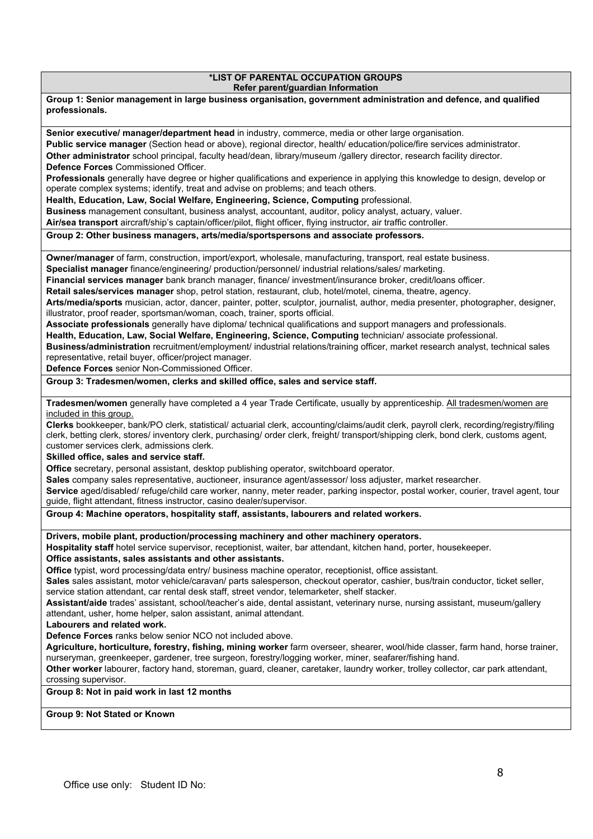#### **\*LIST OF PARENTAL OCCUPATION GROUPS Refer parent/guardian Information**

**Group 1: Senior management in large business organisation, government administration and defence, and qualified professionals.**

**Senior executive/ manager/department head** in industry, commerce, media or other large organisation. **Public service manager** (Section head or above), regional director, health/ education/police/fire services administrator. **Other administrator** school principal, faculty head/dean, library/museum /gallery director, research facility director. **Defence Forces** Commissioned Officer.

**Professionals** generally have degree or higher qualifications and experience in applying this knowledge to design, develop or operate complex systems; identify, treat and advise on problems; and teach others.

**Health, Education, Law, Social Welfare, Engineering, Science, Computing** professional.

**Business** management consultant, business analyst, accountant, auditor, policy analyst, actuary, valuer.

**Air/sea transport** aircraft/ship's captain/officer/pilot, flight officer, flying instructor, air traffic controller.

**Group 2: Other business managers, arts/media/sportspersons and associate professors.**

**Owner/manager** of farm, construction, import/export, wholesale, manufacturing, transport, real estate business.

**Specialist manager** finance/engineering/ production/personnel/ industrial relations/sales/ marketing.

**Financial services manager** bank branch manager, finance/ investment/insurance broker, credit/loans officer.

**Retail sales/services manager** shop, petrol station, restaurant, club, hotel/motel, cinema, theatre, agency.

**Arts/media/sports** musician, actor, dancer, painter, potter, sculptor, journalist, author, media presenter, photographer, designer, illustrator, proof reader, sportsman/woman, coach, trainer, sports official.

**Associate professionals** generally have diploma/ technical qualifications and support managers and professionals.

**Health, Education, Law, Social Welfare, Engineering, Science, Computing** technician/ associate professional.

**Business/administration** recruitment/employment/ industrial relations/training officer, market research analyst, technical sales representative, retail buyer, officer/project manager.

**Defence Forces** senior Non-Commissioned Officer.

**Group 3: Tradesmen/women, clerks and skilled office, sales and service staff.**

**Tradesmen/women** generally have completed a 4 year Trade Certificate, usually by apprenticeship. All tradesmen/women are included in this group.

**Clerks** bookkeeper, bank/PO clerk, statistical/ actuarial clerk, accounting/claims/audit clerk, payroll clerk, recording/registry/filing clerk, betting clerk, stores/ inventory clerk, purchasing/ order clerk, freight/ transport/shipping clerk, bond clerk, customs agent, customer services clerk, admissions clerk.

**Skilled office, sales and service staff.**

**Office** secretary, personal assistant, desktop publishing operator, switchboard operator.

**Sales** company sales representative, auctioneer, insurance agent/assessor/ loss adjuster, market researcher.

**Service** aged/disabled/ refuge/child care worker, nanny, meter reader, parking inspector, postal worker, courier, travel agent, tour guide, flight attendant, fitness instructor, casino dealer/supervisor.

#### **Group 4: Machine operators, hospitality staff, assistants, labourers and related workers.**

**Drivers, mobile plant, production/processing machinery and other machinery operators.**

**Hospitality staff** hotel service supervisor, receptionist, waiter, bar attendant, kitchen hand, porter, housekeeper.

#### **Office assistants, sales assistants and other assistants.**

**Office** typist, word processing/data entry/ business machine operator, receptionist, office assistant.

**Sales** sales assistant, motor vehicle/caravan/ parts salesperson, checkout operator, cashier, bus/train conductor, ticket seller, service station attendant, car rental desk staff, street vendor, telemarketer, shelf stacker.

**Assistant/aide** trades' assistant, school/teacher's aide, dental assistant, veterinary nurse, nursing assistant, museum/gallery attendant, usher, home helper, salon assistant, animal attendant.

**Labourers and related work.**

**Defence Forces** ranks below senior NCO not included above.

**Agriculture, horticulture, forestry, fishing, mining worker** farm overseer, shearer, wool/hide classer, farm hand, horse trainer, nurseryman, greenkeeper, gardener, tree surgeon, forestry/logging worker, miner, seafarer/fishing hand.

**Other worker** labourer, factory hand, storeman, guard, cleaner, caretaker, laundry worker, trolley collector, car park attendant, crossing supervisor.

# **Group 8: Not in paid work in last 12 months**

**Group 9: Not Stated or Known**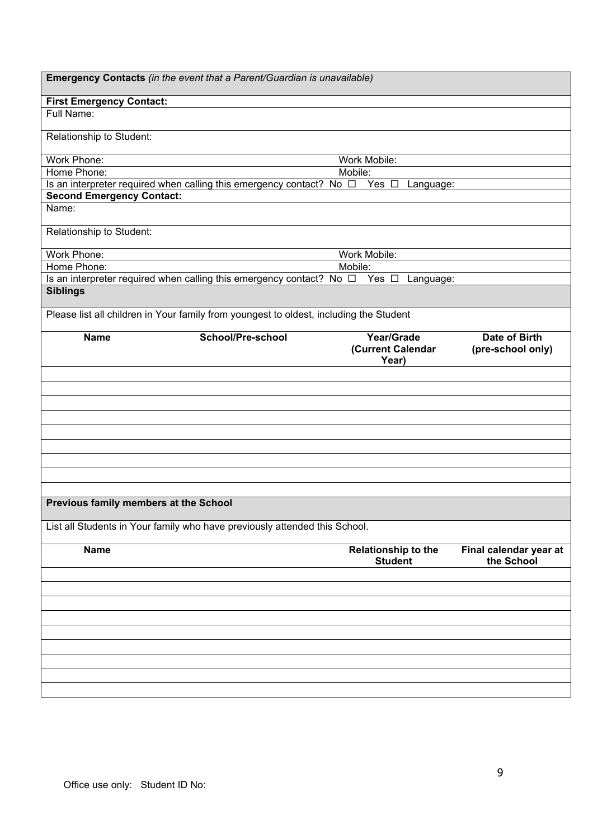| Emergency Contacts (in the event that a Parent/Guardian is unavailable)                |                          |                                              |                                           |
|----------------------------------------------------------------------------------------|--------------------------|----------------------------------------------|-------------------------------------------|
| <b>First Emergency Contact:</b>                                                        |                          |                                              |                                           |
| Full Name:                                                                             |                          |                                              |                                           |
| Relationship to Student:                                                               |                          |                                              |                                           |
| Work Phone:                                                                            |                          | Work Mobile:                                 |                                           |
| Home Phone:                                                                            |                          | Mobile:                                      |                                           |
| Is an interpreter required when calling this emergency contact? No $\Box$              |                          | Yes $\square$<br>Language:                   |                                           |
| <b>Second Emergency Contact:</b>                                                       |                          |                                              |                                           |
| Name:                                                                                  |                          |                                              |                                           |
| Relationship to Student:                                                               |                          |                                              |                                           |
| Work Phone:                                                                            |                          | Work Mobile:                                 |                                           |
| Home Phone:                                                                            |                          | Mobile:                                      |                                           |
| Is an interpreter required when calling this emergency contact? No $\Box$ Yes $\Box$   |                          | Language:                                    |                                           |
| <b>Siblings</b>                                                                        |                          |                                              |                                           |
| Please list all children in Your family from youngest to oldest, including the Student |                          |                                              |                                           |
| <b>Name</b>                                                                            | <b>School/Pre-school</b> | Year/Grade<br>(Current Calendar<br>Year)     | <b>Date of Birth</b><br>(pre-school only) |
|                                                                                        |                          |                                              |                                           |
|                                                                                        |                          |                                              |                                           |
|                                                                                        |                          |                                              |                                           |
|                                                                                        |                          |                                              |                                           |
|                                                                                        |                          |                                              |                                           |
|                                                                                        |                          |                                              |                                           |
|                                                                                        |                          |                                              |                                           |
|                                                                                        |                          |                                              |                                           |
|                                                                                        |                          |                                              |                                           |
|                                                                                        |                          |                                              |                                           |
| Previous family members at the School                                                  |                          |                                              |                                           |
| List all Students in Your family who have previously attended this School.             |                          |                                              |                                           |
| <b>Name</b>                                                                            |                          | <b>Relationship to the</b><br><b>Student</b> | Final calendar year at<br>the School      |
|                                                                                        |                          |                                              |                                           |
|                                                                                        |                          |                                              |                                           |
|                                                                                        |                          |                                              |                                           |
|                                                                                        |                          |                                              |                                           |
|                                                                                        |                          |                                              |                                           |
|                                                                                        |                          |                                              |                                           |
|                                                                                        |                          |                                              |                                           |
|                                                                                        |                          |                                              |                                           |
|                                                                                        |                          |                                              |                                           |
|                                                                                        |                          |                                              |                                           |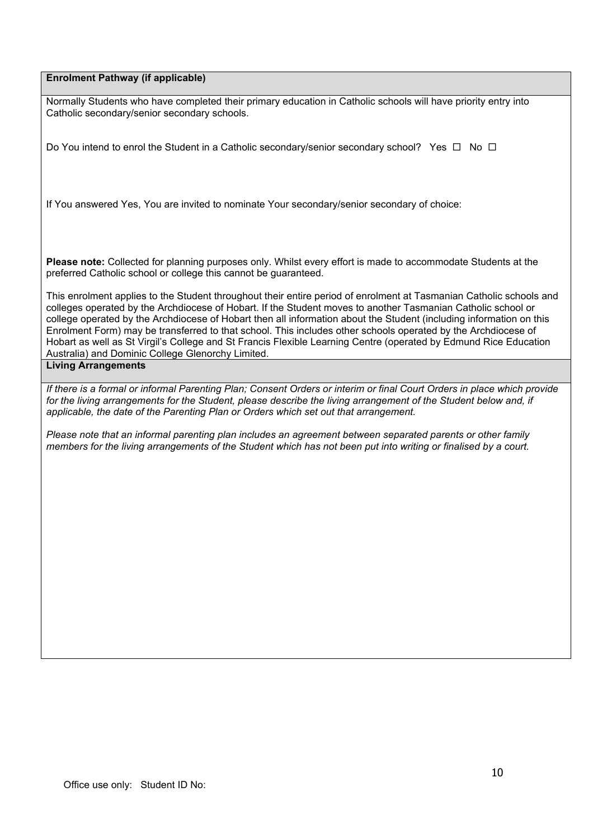## **Enrolment Pathway (if applicable)**

Normally Students who have completed their primary education in Catholic schools will have priority entry into Catholic secondary/senior secondary schools.

Do You intend to enrol the Student in a Catholic secondary/senior secondary school? Yes  $\Box$  No  $\Box$ 

If You answered Yes, You are invited to nominate Your secondary/senior secondary of choice:

**Please note:** Collected for planning purposes only. Whilst every effort is made to accommodate Students at the preferred Catholic school or college this cannot be guaranteed.

This enrolment applies to the Student throughout their entire period of enrolment at Tasmanian Catholic schools and colleges operated by the Archdiocese of Hobart. If the Student moves to another Tasmanian Catholic school or college operated by the Archdiocese of Hobart then all information about the Student (including information on this Enrolment Form) may be transferred to that school. This includes other schools operated by the Archdiocese of Hobart as well as St Virgil's College and St Francis Flexible Learning Centre (operated by Edmund Rice Education Australia) and Dominic College Glenorchy Limited.

# **Living Arrangements**

*If there is a formal or informal Parenting Plan; Consent Orders or interim or final Court Orders in place which provide*  for the living arrangements for the Student, please describe the living arrangement of the Student below and, if *applicable, the date of the Parenting Plan or Orders which set out that arrangement.*

*Please note that an informal parenting plan includes an agreement between separated parents or other family members for the living arrangements of the Student which has not been put into writing or finalised by a court.*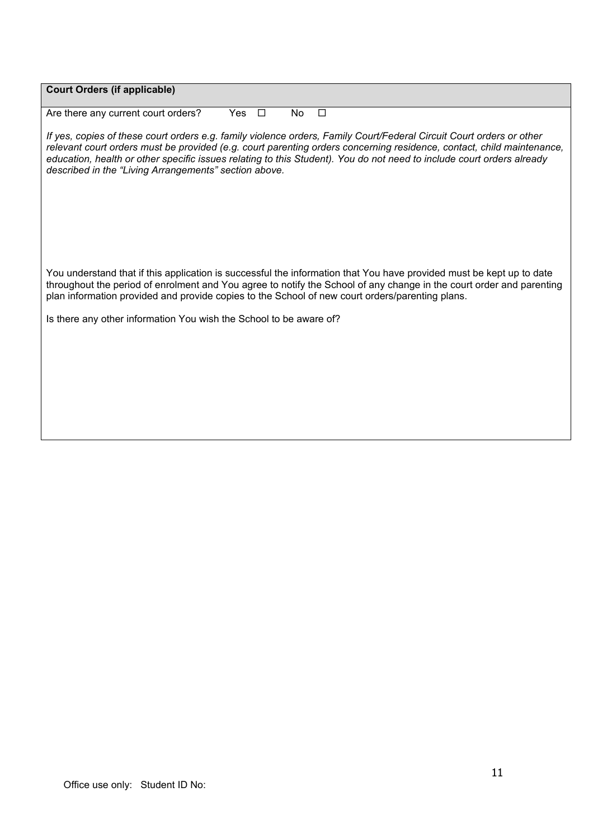| <b>Court Orders (if applicable)</b>                                                                                                                                                                                                                                                                                                                                                                                             |
|---------------------------------------------------------------------------------------------------------------------------------------------------------------------------------------------------------------------------------------------------------------------------------------------------------------------------------------------------------------------------------------------------------------------------------|
| $\Box$<br>$\Box$<br>Are there any current court orders?<br>Yes<br>No                                                                                                                                                                                                                                                                                                                                                            |
| If yes, copies of these court orders e.g. family violence orders, Family Court/Federal Circuit Court orders or other<br>relevant court orders must be provided (e.g. court parenting orders concerning residence, contact, child maintenance,<br>education, health or other specific issues relating to this Student). You do not need to include court orders already<br>described in the "Living Arrangements" section above. |
|                                                                                                                                                                                                                                                                                                                                                                                                                                 |
|                                                                                                                                                                                                                                                                                                                                                                                                                                 |
| You understand that if this application is successful the information that You have provided must be kept up to date<br>throughout the period of enrolment and You agree to notify the School of any change in the court order and parenting<br>plan information provided and provide copies to the School of new court orders/parenting plans.                                                                                 |
| Is there any other information You wish the School to be aware of?                                                                                                                                                                                                                                                                                                                                                              |
|                                                                                                                                                                                                                                                                                                                                                                                                                                 |
|                                                                                                                                                                                                                                                                                                                                                                                                                                 |
|                                                                                                                                                                                                                                                                                                                                                                                                                                 |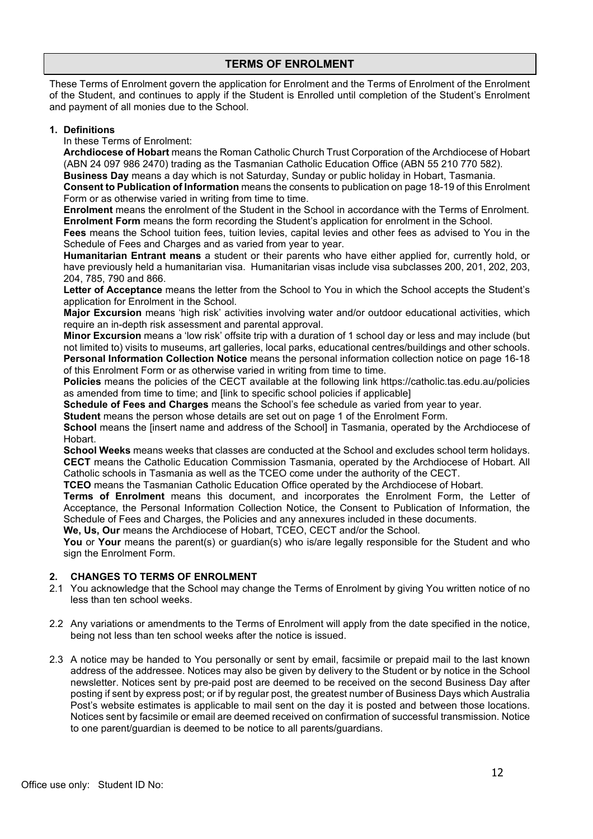# **TERMS OF ENROLMENT**

These Terms of Enrolment govern the application for Enrolment and the Terms of Enrolment of the Enrolment of the Student, and continues to apply if the Student is Enrolled until completion of the Student's Enrolment and payment of all monies due to the School.

## **1. Definitions**

In these Terms of Enrolment:

**Archdiocese of Hobart** means the Roman Catholic Church Trust Corporation of the Archdiocese of Hobart (ABN 24 097 986 2470) trading as the Tasmanian Catholic Education Office (ABN 55 210 770 582).

**Business Day** means a day which is not Saturday, Sunday or public holiday in Hobart, Tasmania.

**Consent to Publication of Information** means the consents to publication on page 18-19 of this Enrolment Form or as otherwise varied in writing from time to time.

**Enrolment** means the enrolment of the Student in the School in accordance with the Terms of Enrolment. **Enrolment Form** means the form recording the Student's application for enrolment in the School.

**Fees** means the School tuition fees, tuition levies, capital levies and other fees as advised to You in the Schedule of Fees and Charges and as varied from year to year.

**Humanitarian Entrant means** a student or their parents who have either applied for, currently hold, or have previously held a humanitarian visa. Humanitarian visas include visa subclasses 200, 201, 202, 203, 204, 785, 790 and 866.

**Letter of Acceptance** means the letter from the School to You in which the School accepts the Student's application for Enrolment in the School.

**Major Excursion** means 'high risk' activities involving water and/or outdoor educational activities, which require an in-depth risk assessment and parental approval.

**Minor Excursion** means a 'low risk' offsite trip with a duration of 1 school day or less and may include (but not limited to) visits to museums, art galleries, local parks, educational centres/buildings and other schools. **Personal Information Collection Notice** means the personal information collection notice on page 16-18 of this Enrolment Form or as otherwise varied in writing from time to time.

**Policies** means the policies of the CECT available at the following link https://catholic.tas.edu.au/policies as amended from time to time; and [link to specific school policies if applicable]

**Schedule of Fees and Charges** means the School's fee schedule as varied from year to year.

**Student** means the person whose details are set out on page 1 of the Enrolment Form.

**School** means the [insert name and address of the School] in Tasmania, operated by the Archdiocese of Hobart.

**School Weeks** means weeks that classes are conducted at the School and excludes school term holidays. **CECT** means the Catholic Education Commission Tasmania, operated by the Archdiocese of Hobart. All Catholic schools in Tasmania as well as the TCEO come under the authority of the CECT.

**TCEO** means the Tasmanian Catholic Education Office operated by the Archdiocese of Hobart.

**Terms of Enrolment** means this document, and incorporates the Enrolment Form, the Letter of Acceptance, the Personal Information Collection Notice, the Consent to Publication of Information, the Schedule of Fees and Charges, the Policies and any annexures included in these documents.

**We, Us, Our** means the Archdiocese of Hobart, TCEO, CECT and/or the School.

**You** or **Your** means the parent(s) or quardian(s) who is/are legally responsible for the Student and who sign the Enrolment Form.

# **2. CHANGES TO TERMS OF ENROLMENT**

- 2.1 You acknowledge that the School may change the Terms of Enrolment by giving You written notice of no less than ten school weeks.
- 2.2 Any variations or amendments to the Terms of Enrolment will apply from the date specified in the notice, being not less than ten school weeks after the notice is issued.
- 2.3 A notice may be handed to You personally or sent by email, facsimile or prepaid mail to the last known address of the addressee. Notices may also be given by delivery to the Student or by notice in the School newsletter. Notices sent by pre-paid post are deemed to be received on the second Business Day after posting if sent by express post; or if by regular post, the greatest number of Business Days which Australia Post's website estimates is applicable to mail sent on the day it is posted and between those locations. Notices sent by facsimile or email are deemed received on confirmation of successful transmission. Notice to one parent/guardian is deemed to be notice to all parents/guardians.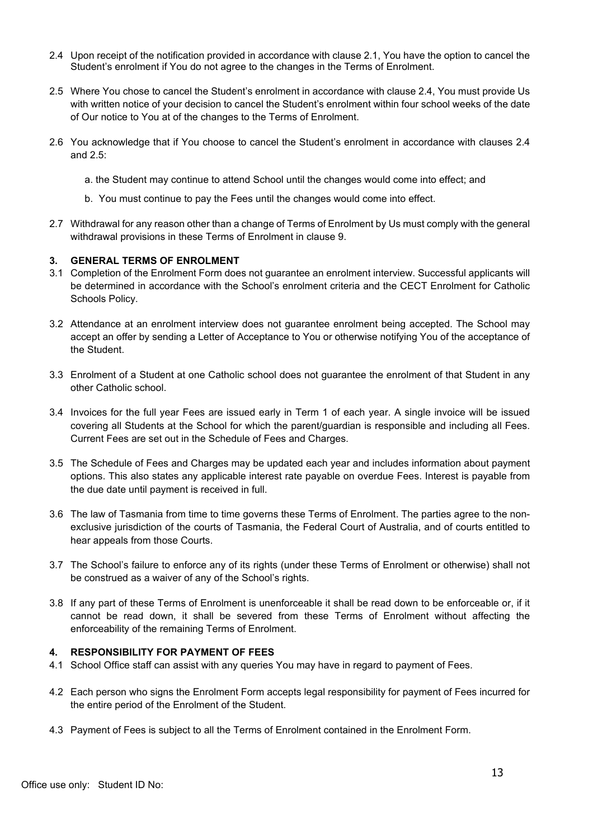- 2.4 Upon receipt of the notification provided in accordance with clause 2.1, You have the option to cancel the Student's enrolment if You do not agree to the changes in the Terms of Enrolment.
- 2.5 Where You chose to cancel the Student's enrolment in accordance with clause 2.4, You must provide Us with written notice of your decision to cancel the Student's enrolment within four school weeks of the date of Our notice to You at of the changes to the Terms of Enrolment.
- 2.6 You acknowledge that if You choose to cancel the Student's enrolment in accordance with clauses 2.4 and 2.5:
	- a. the Student may continue to attend School until the changes would come into effect; and
	- b. You must continue to pay the Fees until the changes would come into effect.
- 2.7 Withdrawal for any reason other than a change of Terms of Enrolment by Us must comply with the general withdrawal provisions in these Terms of Enrolment in clause 9.

### **3. GENERAL TERMS OF ENROLMENT**

- 3.1 Completion of the Enrolment Form does not guarantee an enrolment interview. Successful applicants will be determined in accordance with the School's enrolment criteria and the CECT Enrolment for Catholic Schools Policy.
- 3.2 Attendance at an enrolment interview does not guarantee enrolment being accepted. The School may accept an offer by sending a Letter of Acceptance to You or otherwise notifying You of the acceptance of the Student.
- 3.3 Enrolment of a Student at one Catholic school does not guarantee the enrolment of that Student in any other Catholic school.
- 3.4 Invoices for the full year Fees are issued early in Term 1 of each year. A single invoice will be issued covering all Students at the School for which the parent/guardian is responsible and including all Fees. Current Fees are set out in the Schedule of Fees and Charges.
- 3.5 The Schedule of Fees and Charges may be updated each year and includes information about payment options. This also states any applicable interest rate payable on overdue Fees. Interest is payable from the due date until payment is received in full.
- 3.6 The law of Tasmania from time to time governs these Terms of Enrolment. The parties agree to the nonexclusive jurisdiction of the courts of Tasmania, the Federal Court of Australia, and of courts entitled to hear appeals from those Courts.
- 3.7 The School's failure to enforce any of its rights (under these Terms of Enrolment or otherwise) shall not be construed as a waiver of any of the School's rights.
- 3.8 If any part of these Terms of Enrolment is unenforceable it shall be read down to be enforceable or, if it cannot be read down, it shall be severed from these Terms of Enrolment without affecting the enforceability of the remaining Terms of Enrolment.

# **4. RESPONSIBILITY FOR PAYMENT OF FEES**

- 4.1 School Office staff can assist with any queries You may have in regard to payment of Fees.
- 4.2 Each person who signs the Enrolment Form accepts legal responsibility for payment of Fees incurred for the entire period of the Enrolment of the Student.
- 4.3 Payment of Fees is subject to all the Terms of Enrolment contained in the Enrolment Form.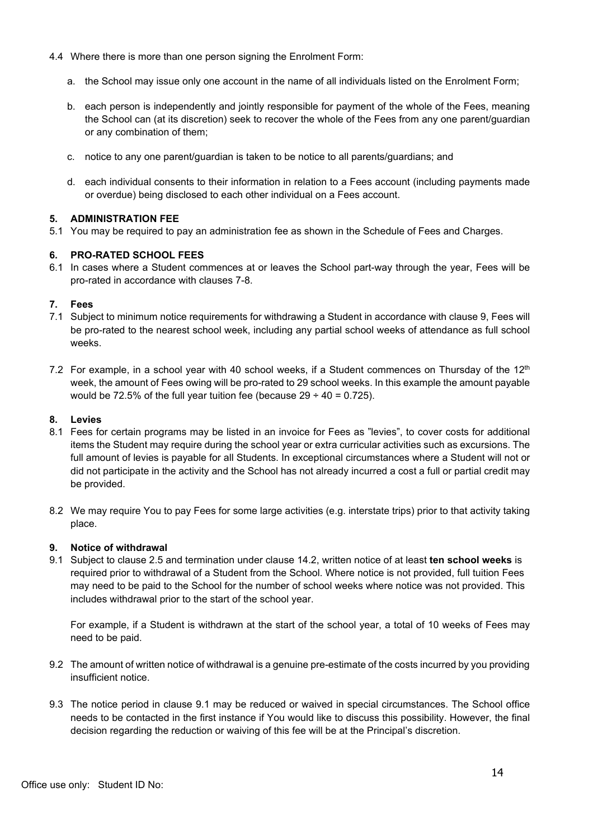- 4.4 Where there is more than one person signing the Enrolment Form:
	- a. the School may issue only one account in the name of all individuals listed on the Enrolment Form;
	- b. each person is independently and jointly responsible for payment of the whole of the Fees, meaning the School can (at its discretion) seek to recover the whole of the Fees from any one parent/guardian or any combination of them;
	- c. notice to any one parent/guardian is taken to be notice to all parents/guardians; and
	- d. each individual consents to their information in relation to a Fees account (including payments made or overdue) being disclosed to each other individual on a Fees account.

# **5. ADMINISTRATION FEE**

5.1 You may be required to pay an administration fee as shown in the Schedule of Fees and Charges.

# **6. PRO-RATED SCHOOL FEES**

6.1 In cases where a Student commences at or leaves the School part-way through the year, Fees will be pro-rated in accordance with clauses 7-8.

# **7. Fees**

- 7.1 Subject to minimum notice requirements for withdrawing a Student in accordance with clause 9, Fees will be pro-rated to the nearest school week, including any partial school weeks of attendance as full school weeks.
- 7.2 For example, in a school year with 40 school weeks, if a Student commences on Thursday of the  $12<sup>th</sup>$ week, the amount of Fees owing will be pro-rated to 29 school weeks. In this example the amount payable would be 72.5% of the full year tuition fee (because  $29 \div 40 = 0.725$ ).

#### **8. Levies**

- 8.1 Fees for certain programs may be listed in an invoice for Fees as "levies", to cover costs for additional items the Student may require during the school year or extra curricular activities such as excursions. The full amount of levies is payable for all Students. In exceptional circumstances where a Student will not or did not participate in the activity and the School has not already incurred a cost a full or partial credit may be provided.
- 8.2 We may require You to pay Fees for some large activities (e.g. interstate trips) prior to that activity taking place.

# **9. Notice of withdrawal**

9.1 Subject to clause 2.5 and termination under clause 14.2, written notice of at least **ten school weeks** is required prior to withdrawal of a Student from the School. Where notice is not provided, full tuition Fees may need to be paid to the School for the number of school weeks where notice was not provided. This includes withdrawal prior to the start of the school year.

For example, if a Student is withdrawn at the start of the school year, a total of 10 weeks of Fees may need to be paid.

- 9.2 The amount of written notice of withdrawal is a genuine pre-estimate of the costs incurred by you providing insufficient notice.
- 9.3 The notice period in clause 9.1 may be reduced or waived in special circumstances. The School office needs to be contacted in the first instance if You would like to discuss this possibility. However, the final decision regarding the reduction or waiving of this fee will be at the Principal's discretion.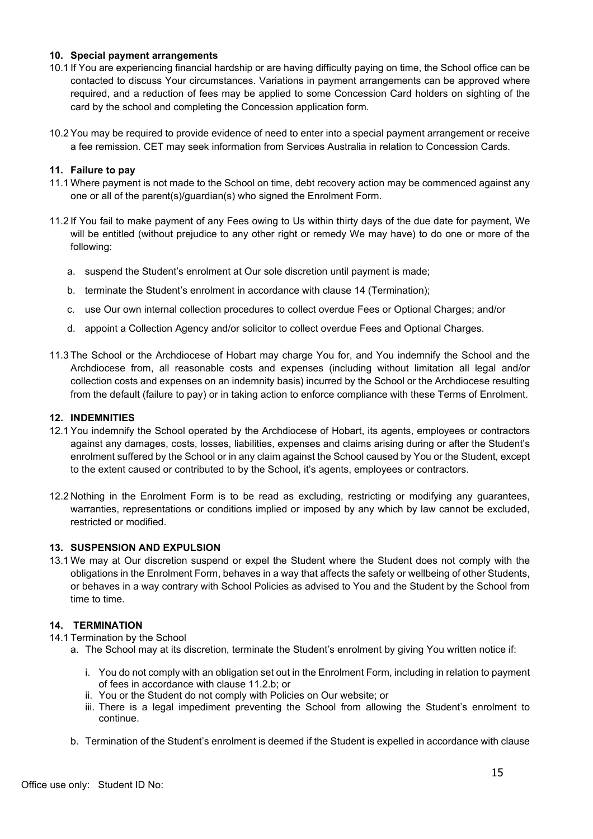## **10. Special payment arrangements**

- 10.1 If You are experiencing financial hardship or are having difficulty paying on time, the School office can be contacted to discuss Your circumstances. Variations in payment arrangements can be approved where required, and a reduction of fees may be applied to some Concession Card holders on sighting of the card by the school and completing the Concession application form.
- 10.2 You may be required to provide evidence of need to enter into a special payment arrangement or receive a fee remission. CET may seek information from Services Australia in relation to Concession Cards.

### **11. Failure to pay**

- 11.1 Where payment is not made to the School on time, debt recovery action may be commenced against any one or all of the parent(s)/guardian(s) who signed the Enrolment Form.
- 11.2 If You fail to make payment of any Fees owing to Us within thirty days of the due date for payment, We will be entitled (without prejudice to any other right or remedy We may have) to do one or more of the following:
	- a. suspend the Student's enrolment at Our sole discretion until payment is made;
	- b. terminate the Student's enrolment in accordance with clause 14 (Termination);
	- c. use Our own internal collection procedures to collect overdue Fees or Optional Charges; and/or
	- d. appoint a Collection Agency and/or solicitor to collect overdue Fees and Optional Charges.
- 11.3 The School or the Archdiocese of Hobart may charge You for, and You indemnify the School and the Archdiocese from, all reasonable costs and expenses (including without limitation all legal and/or collection costs and expenses on an indemnity basis) incurred by the School or the Archdiocese resulting from the default (failure to pay) or in taking action to enforce compliance with these Terms of Enrolment.

#### **12. INDEMNITIES**

- 12.1 You indemnify the School operated by the Archdiocese of Hobart, its agents, employees or contractors against any damages, costs, losses, liabilities, expenses and claims arising during or after the Student's enrolment suffered by the School or in any claim against the School caused by You or the Student, except to the extent caused or contributed to by the School, it's agents, employees or contractors.
- 12.2 Nothing in the Enrolment Form is to be read as excluding, restricting or modifying any guarantees, warranties, representations or conditions implied or imposed by any which by law cannot be excluded, restricted or modified.

### **13. SUSPENSION AND EXPULSION**

13.1 We may at Our discretion suspend or expel the Student where the Student does not comply with the obligations in the Enrolment Form, behaves in a way that affects the safety or wellbeing of other Students, or behaves in a way contrary with School Policies as advised to You and the Student by the School from time to time.

#### **14. TERMINATION**

- 14.1 Termination by the School
	- a. The School may at its discretion, terminate the Student's enrolment by giving You written notice if:
		- i. You do not comply with an obligation set out in the Enrolment Form, including in relation to payment of fees in accordance with clause 11.2.b; or
		- ii. You or the Student do not comply with Policies on Our website; or
		- iii. There is a legal impediment preventing the School from allowing the Student's enrolment to continue.
	- b. Termination of the Student's enrolment is deemed if the Student is expelled in accordance with clause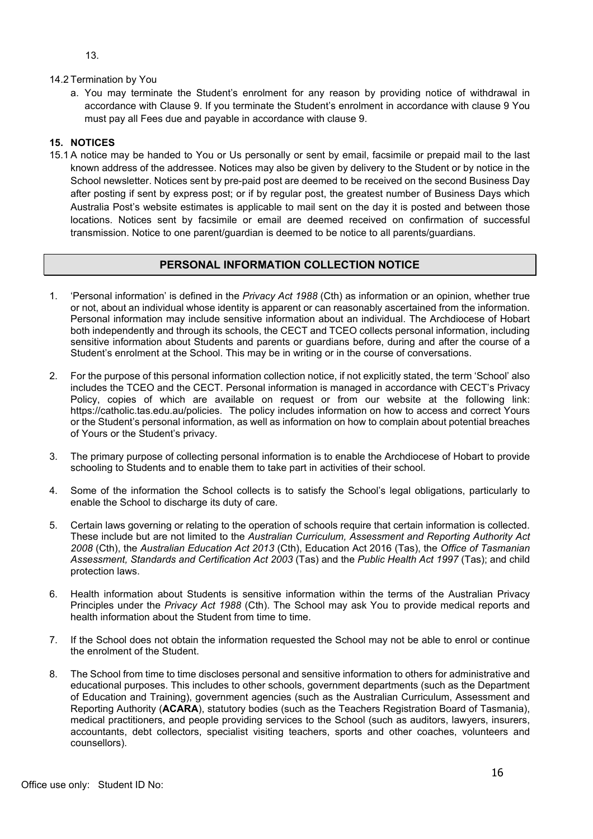13.

### 14.2 Termination by You

a. You may terminate the Student's enrolment for any reason by providing notice of withdrawal in accordance with Clause 9. If you terminate the Student's enrolment in accordance with clause 9 You must pay all Fees due and payable in accordance with clause 9.

## **15. NOTICES**

15.1 A notice may be handed to You or Us personally or sent by email, facsimile or prepaid mail to the last known address of the addressee. Notices may also be given by delivery to the Student or by notice in the School newsletter. Notices sent by pre-paid post are deemed to be received on the second Business Day after posting if sent by express post; or if by regular post, the greatest number of Business Days which Australia Post's website estimates is applicable to mail sent on the day it is posted and between those locations. Notices sent by facsimile or email are deemed received on confirmation of successful transmission. Notice to one parent/guardian is deemed to be notice to all parents/guardians.

# **PERSONAL INFORMATION COLLECTION NOTICE**

- 1. 'Personal information' is defined in the *Privacy Act 1988* (Cth) as information or an opinion, whether true or not, about an individual whose identity is apparent or can reasonably ascertained from the information. Personal information may include sensitive information about an individual. The Archdiocese of Hobart both independently and through its schools, the CECT and TCEO collects personal information, including sensitive information about Students and parents or guardians before, during and after the course of a Student's enrolment at the School. This may be in writing or in the course of conversations.
- 2. For the purpose of this personal information collection notice, if not explicitly stated, the term 'School' also includes the TCEO and the CECT. Personal information is managed in accordance with CECT's Privacy Policy, copies of which are available on request or from our website at the following link: https://catholic.tas.edu.au/policies. The policy includes information on how to access and correct Yours or the Student's personal information, as well as information on how to complain about potential breaches of Yours or the Student's privacy.
- 3. The primary purpose of collecting personal information is to enable the Archdiocese of Hobart to provide schooling to Students and to enable them to take part in activities of their school.
- 4. Some of the information the School collects is to satisfy the School's legal obligations, particularly to enable the School to discharge its duty of care.
- 5. Certain laws governing or relating to the operation of schools require that certain information is collected. These include but are not limited to the *Australian Curriculum, Assessment and Reporting Authority Act 2008* (Cth), the *Australian Education Act 2013* (Cth), Education Act 2016 (Tas), the *Office of Tasmanian Assessment, Standards and Certification Act 2003* (Tas) and the *Public Health Act 1997* (Tas); and child protection laws.
- 6. Health information about Students is sensitive information within the terms of the Australian Privacy Principles under the *Privacy Act 1988* (Cth). The School may ask You to provide medical reports and health information about the Student from time to time.
- 7. If the School does not obtain the information requested the School may not be able to enrol or continue the enrolment of the Student.
- 8. The School from time to time discloses personal and sensitive information to others for administrative and educational purposes. This includes to other schools, government departments (such as the Department of Education and Training), government agencies (such as the Australian Curriculum, Assessment and Reporting Authority (**ACARA**), statutory bodies (such as the Teachers Registration Board of Tasmania), medical practitioners, and people providing services to the School (such as auditors, lawyers, insurers, accountants, debt collectors, specialist visiting teachers, sports and other coaches, volunteers and counsellors).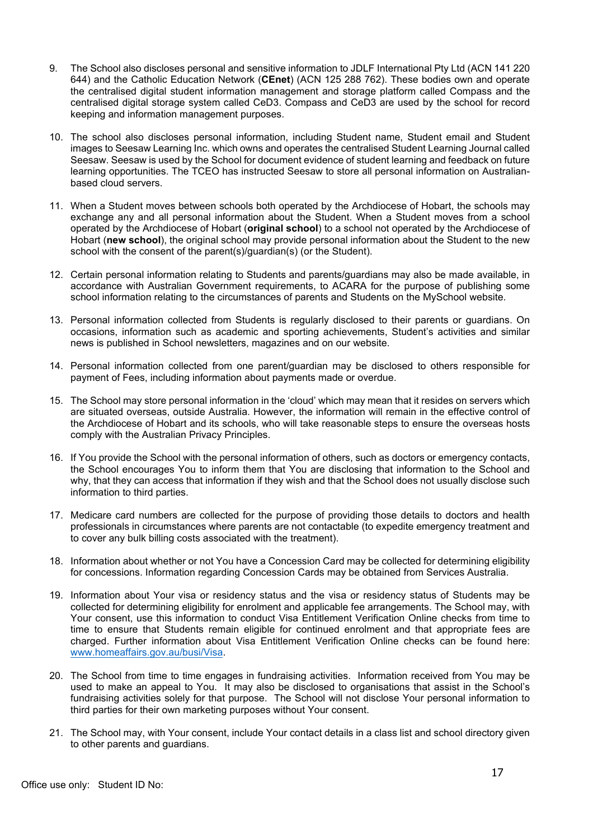- 9. The School also discloses personal and sensitive information to JDLF International Pty Ltd (ACN 141 220 644) and the Catholic Education Network (**CEnet**) (ACN 125 288 762). These bodies own and operate the centralised digital student information management and storage platform called Compass and the centralised digital storage system called CeD3. Compass and CeD3 are used by the school for record keeping and information management purposes.
- 10. The school also discloses personal information, including Student name, Student email and Student images to Seesaw Learning Inc. which owns and operates the centralised Student Learning Journal called Seesaw. Seesaw is used by the School for document evidence of student learning and feedback on future learning opportunities. The TCEO has instructed Seesaw to store all personal information on Australianbased cloud servers.
- 11. When a Student moves between schools both operated by the Archdiocese of Hobart, the schools may exchange any and all personal information about the Student. When a Student moves from a school operated by the Archdiocese of Hobart (**original school**) to a school not operated by the Archdiocese of Hobart (**new school**), the original school may provide personal information about the Student to the new school with the consent of the parent(s)/guardian(s) (or the Student).
- 12. Certain personal information relating to Students and parents/guardians may also be made available, in accordance with Australian Government requirements, to ACARA for the purpose of publishing some school information relating to the circumstances of parents and Students on the MySchool website.
- 13. Personal information collected from Students is regularly disclosed to their parents or guardians. On occasions, information such as academic and sporting achievements, Student's activities and similar news is published in School newsletters, magazines and on our website.
- 14. Personal information collected from one parent/guardian may be disclosed to others responsible for payment of Fees, including information about payments made or overdue.
- 15. The School may store personal information in the 'cloud' which may mean that it resides on servers which are situated overseas, outside Australia. However, the information will remain in the effective control of the Archdiocese of Hobart and its schools, who will take reasonable steps to ensure the overseas hosts comply with the Australian Privacy Principles.
- 16. If You provide the School with the personal information of others, such as doctors or emergency contacts, the School encourages You to inform them that You are disclosing that information to the School and why, that they can access that information if they wish and that the School does not usually disclose such information to third parties.
- 17. Medicare card numbers are collected for the purpose of providing those details to doctors and health professionals in circumstances where parents are not contactable (to expedite emergency treatment and to cover any bulk billing costs associated with the treatment).
- 18. Information about whether or not You have a Concession Card may be collected for determining eligibility for concessions. Information regarding Concession Cards may be obtained from Services Australia.
- 19. Information about Your visa or residency status and the visa or residency status of Students may be collected for determining eligibility for enrolment and applicable fee arrangements. The School may, with Your consent, use this information to conduct Visa Entitlement Verification Online checks from time to time to ensure that Students remain eligible for continued enrolment and that appropriate fees are charged. Further information about Visa Entitlement Verification Online checks can be found here: www.homeaffairs.gov.au/busi/Visa.
- 20. The School from time to time engages in fundraising activities. Information received from You may be used to make an appeal to You. It may also be disclosed to organisations that assist in the School's fundraising activities solely for that purpose. The School will not disclose Your personal information to third parties for their own marketing purposes without Your consent.
- 21. The School may, with Your consent, include Your contact details in a class list and school directory given to other parents and guardians.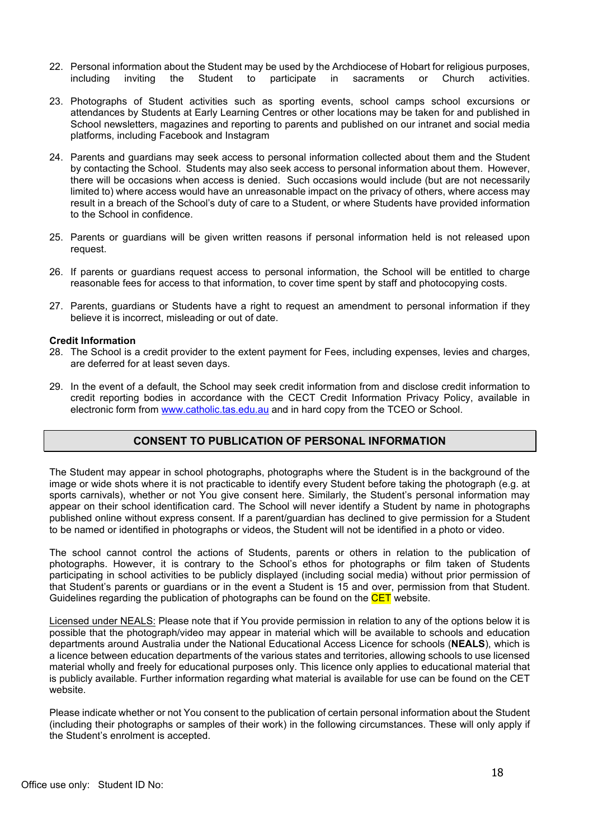- 22. Personal information about the Student may be used by the Archdiocese of Hobart for religious purposes, including inviting the Student to participate in sacraments or Church activities.
- 23. Photographs of Student activities such as sporting events, school camps school excursions or attendances by Students at Early Learning Centres or other locations may be taken for and published in School newsletters, magazines and reporting to parents and published on our intranet and social media platforms, including Facebook and Instagram
- 24. Parents and guardians may seek access to personal information collected about them and the Student by contacting the School. Students may also seek access to personal information about them. However, there will be occasions when access is denied. Such occasions would include (but are not necessarily limited to) where access would have an unreasonable impact on the privacy of others, where access may result in a breach of the School's duty of care to a Student, or where Students have provided information to the School in confidence.
- 25. Parents or guardians will be given written reasons if personal information held is not released upon request.
- 26. If parents or guardians request access to personal information, the School will be entitled to charge reasonable fees for access to that information, to cover time spent by staff and photocopying costs.
- 27. Parents, guardians or Students have a right to request an amendment to personal information if they believe it is incorrect, misleading or out of date.

### **Credit Information**

- 28. The School is a credit provider to the extent payment for Fees, including expenses, levies and charges, are deferred for at least seven days.
- 29. In the event of a default, the School may seek credit information from and disclose credit information to credit reporting bodies in accordance with the CECT Credit Information Privacy Policy, available in electronic form from www.catholic.tas.edu.au and in hard copy from the TCEO or School.

# **CONSENT TO PUBLICATION OF PERSONAL INFORMATION**

The Student may appear in school photographs, photographs where the Student is in the background of the image or wide shots where it is not practicable to identify every Student before taking the photograph (e.g. at sports carnivals), whether or not You give consent here. Similarly, the Student's personal information may appear on their school identification card. The School will never identify a Student by name in photographs published online without express consent. If a parent/guardian has declined to give permission for a Student to be named or identified in photographs or videos, the Student will not be identified in a photo or video.

The school cannot control the actions of Students, parents or others in relation to the publication of photographs. However, it is contrary to the School's ethos for photographs or film taken of Students participating in school activities to be publicly displayed (including social media) without prior permission of that Student's parents or guardians or in the event a Student is 15 and over, permission from that Student. Guidelines regarding the publication of photographs can be found on the CET website.

Licensed under NEALS: Please note that if You provide permission in relation to any of the options below it is possible that the photograph/video may appear in material which will be available to schools and education departments around Australia under the National Educational Access Licence for schools (**NEALS**), which is a licence between education departments of the various states and territories, allowing schools to use licensed material wholly and freely for educational purposes only. This licence only applies to educational material that is publicly available. Further information regarding what material is available for use can be found on the CET website.

Please indicate whether or not You consent to the publication of certain personal information about the Student (including their photographs or samples of their work) in the following circumstances. These will only apply if the Student's enrolment is accepted.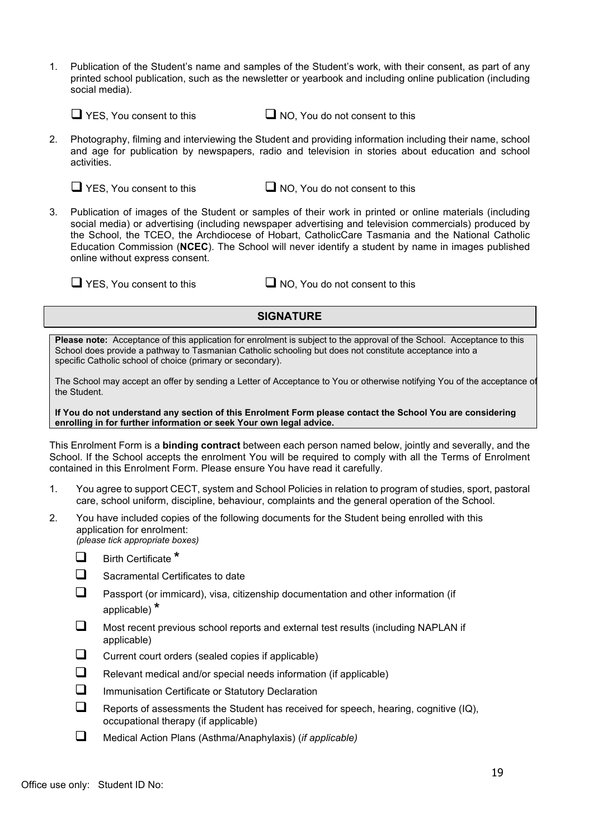1. Publication of the Student's name and samples of the Student's work, with their consent, as part of any printed school publication, such as the newsletter or yearbook and including online publication (including social media).

 $\Box$  YES, You consent to this  $\Box$  NO, You do not consent to this

2. Photography, filming and interviewing the Student and providing information including their name, school and age for publication by newspapers, radio and television in stories about education and school activities.

 $\Box$  YES, You consent to this  $\Box$  NO, You do not consent to this

3. Publication of images of the Student or samples of their work in printed or online materials (including social media) or advertising (including newspaper advertising and television commercials) produced by the School, the TCEO, the Archdiocese of Hobart, CatholicCare Tasmania and the National Catholic Education Commission (**NCEC**). The School will never identify a student by name in images published online without express consent.

 $\Box$  YES, You consent to this  $\Box$  NO, You do not consent to this

# **SIGNATURE**

**Please note:** Acceptance of this application for enrolment is subject to the approval of the School. Acceptance to this School does provide a pathway to Tasmanian Catholic schooling but does not constitute acceptance into a specific Catholic school of choice (primary or secondary).

The School may accept an offer by sending a Letter of Acceptance to You or otherwise notifying You of the acceptance of the Student.

**If You do not understand any section of this Enrolment Form please contact the School You are considering enrolling in for further information or seek Your own legal advice.**

This Enrolment Form is a **binding contract** between each person named below, jointly and severally, and the School. If the School accepts the enrolment You will be required to comply with all the Terms of Enrolment contained in this Enrolment Form. Please ensure You have read it carefully.

- 1. You agree to support CECT, system and School Policies in relation to program of studies, sport, pastoral care, school uniform, discipline, behaviour, complaints and the general operation of the School.
- 2. You have included copies of the following documents for the Student being enrolled with this application for enrolment: *(please tick appropriate boxes)*
	- $\Box$  Birth Certificate \*
	- $\Box$  Sacramental Certificates to date
	- $\Box$  Passport (or immicard), visa, citizenship documentation and other information (if applicable) **\***
	- $\Box$  Most recent previous school reports and external test results (including NAPLAN if applicable)
	- $\Box$  Current court orders (sealed copies if applicable)
	- $\Box$  Relevant medical and/or special needs information (if applicable)
	- $\Box$  Immunisation Certificate or Statutory Declaration
	- $\Box$  Reports of assessments the Student has received for speech, hearing, cognitive (IQ), occupational therapy (if applicable)
	- q Medical Action Plans (Asthma/Anaphylaxis) (*if applicable)*